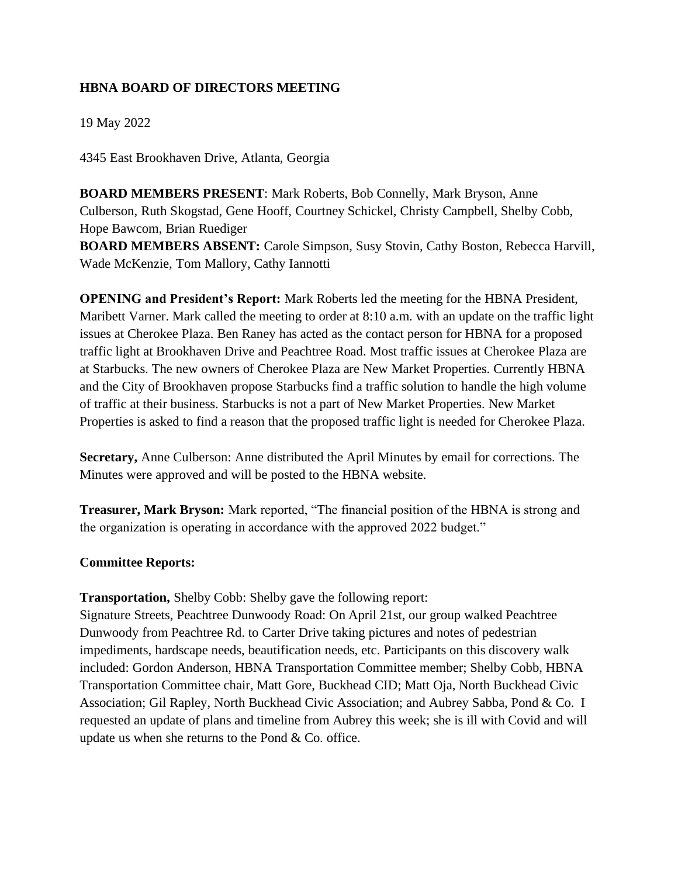## **HBNA BOARD OF DIRECTORS MEETING**

19 May 2022

4345 East Brookhaven Drive, Atlanta, Georgia

**BOARD MEMBERS PRESENT**: Mark Roberts, Bob Connelly, Mark Bryson, Anne Culberson, Ruth Skogstad, Gene Hooff, Courtney Schickel, Christy Campbell, Shelby Cobb, Hope Bawcom, Brian Ruediger

**BOARD MEMBERS ABSENT:** Carole Simpson, Susy Stovin, Cathy Boston, Rebecca Harvill, Wade McKenzie, Tom Mallory, Cathy Iannotti

**OPENING and President's Report:** Mark Roberts led the meeting for the HBNA President, Maribett Varner. Mark called the meeting to order at 8:10 a.m. with an update on the traffic light issues at Cherokee Plaza. Ben Raney has acted as the contact person for HBNA for a proposed traffic light at Brookhaven Drive and Peachtree Road. Most traffic issues at Cherokee Plaza are at Starbucks. The new owners of Cherokee Plaza are New Market Properties. Currently HBNA and the City of Brookhaven propose Starbucks find a traffic solution to handle the high volume of traffic at their business. Starbucks is not a part of New Market Properties. New Market Properties is asked to find a reason that the proposed traffic light is needed for Cherokee Plaza.

**Secretary,** Anne Culberson: Anne distributed the April Minutes by email for corrections. The Minutes were approved and will be posted to the HBNA website.

**Treasurer, Mark Bryson:** Mark reported, "The financial position of the HBNA is strong and the organization is operating in accordance with the approved 2022 budget."

## **Committee Reports:**

**Transportation,** Shelby Cobb: Shelby gave the following report:

Signature Streets, Peachtree Dunwoody Road: On April 21st, our group walked Peachtree Dunwoody from Peachtree Rd. to Carter Drive taking pictures and notes of pedestrian impediments, hardscape needs, beautification needs, etc. Participants on this discovery walk included: Gordon Anderson, HBNA Transportation Committee member; Shelby Cobb, HBNA Transportation Committee chair, Matt Gore, Buckhead CID; Matt Oja, North Buckhead Civic Association; Gil Rapley, North Buckhead Civic Association; and Aubrey Sabba, Pond & Co. I requested an update of plans and timeline from Aubrey this week; she is ill with Covid and will update us when she returns to the Pond & Co. office.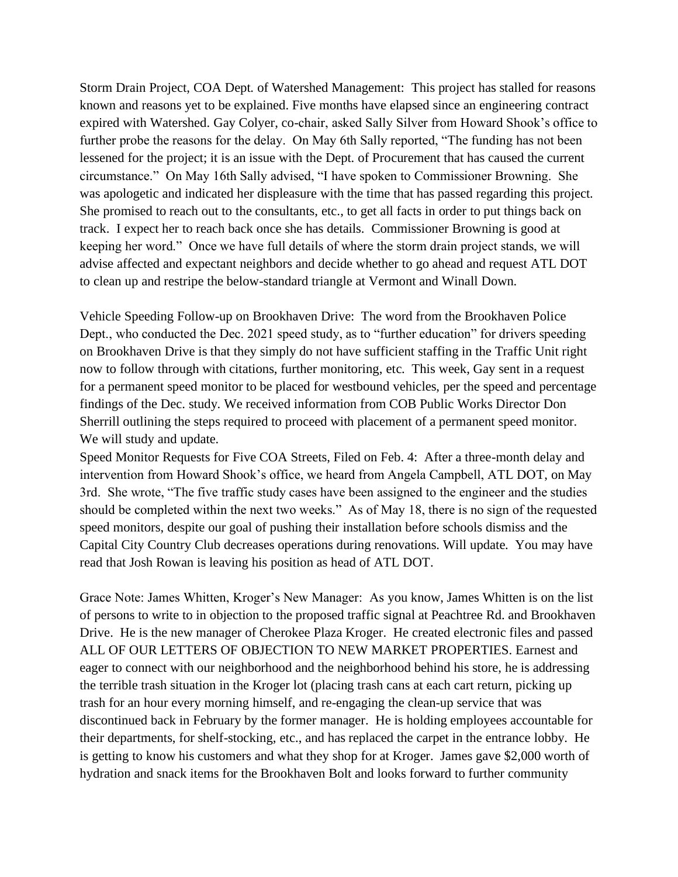Storm Drain Project, COA Dept. of Watershed Management: This project has stalled for reasons known and reasons yet to be explained. Five months have elapsed since an engineering contract expired with Watershed. Gay Colyer, co-chair, asked Sally Silver from Howard Shook's office to further probe the reasons for the delay. On May 6th Sally reported, "The funding has not been lessened for the project; it is an issue with the Dept. of Procurement that has caused the current circumstance." On May 16th Sally advised, "I have spoken to Commissioner Browning. She was apologetic and indicated her displeasure with the time that has passed regarding this project. She promised to reach out to the consultants, etc., to get all facts in order to put things back on track. I expect her to reach back once she has details. Commissioner Browning is good at keeping her word." Once we have full details of where the storm drain project stands, we will advise affected and expectant neighbors and decide whether to go ahead and request ATL DOT to clean up and restripe the below-standard triangle at Vermont and Winall Down.

Vehicle Speeding Follow-up on Brookhaven Drive: The word from the Brookhaven Police Dept., who conducted the Dec. 2021 speed study, as to "further education" for drivers speeding on Brookhaven Drive is that they simply do not have sufficient staffing in the Traffic Unit right now to follow through with citations, further monitoring, etc. This week, Gay sent in a request for a permanent speed monitor to be placed for westbound vehicles, per the speed and percentage findings of the Dec. study. We received information from COB Public Works Director Don Sherrill outlining the steps required to proceed with placement of a permanent speed monitor. We will study and update.

Speed Monitor Requests for Five COA Streets, Filed on Feb. 4: After a three-month delay and intervention from Howard Shook's office, we heard from Angela Campbell, ATL DOT, on May 3rd. She wrote, "The five traffic study cases have been assigned to the engineer and the studies should be completed within the next two weeks." As of May 18, there is no sign of the requested speed monitors, despite our goal of pushing their installation before schools dismiss and the Capital City Country Club decreases operations during renovations. Will update. You may have read that Josh Rowan is leaving his position as head of ATL DOT.

Grace Note: James Whitten, Kroger's New Manager: As you know, James Whitten is on the list of persons to write to in objection to the proposed traffic signal at Peachtree Rd. and Brookhaven Drive. He is the new manager of Cherokee Plaza Kroger. He created electronic files and passed ALL OF OUR LETTERS OF OBJECTION TO NEW MARKET PROPERTIES. Earnest and eager to connect with our neighborhood and the neighborhood behind his store, he is addressing the terrible trash situation in the Kroger lot (placing trash cans at each cart return, picking up trash for an hour every morning himself, and re-engaging the clean-up service that was discontinued back in February by the former manager. He is holding employees accountable for their departments, for shelf-stocking, etc., and has replaced the carpet in the entrance lobby. He is getting to know his customers and what they shop for at Kroger. James gave \$2,000 worth of hydration and snack items for the Brookhaven Bolt and looks forward to further community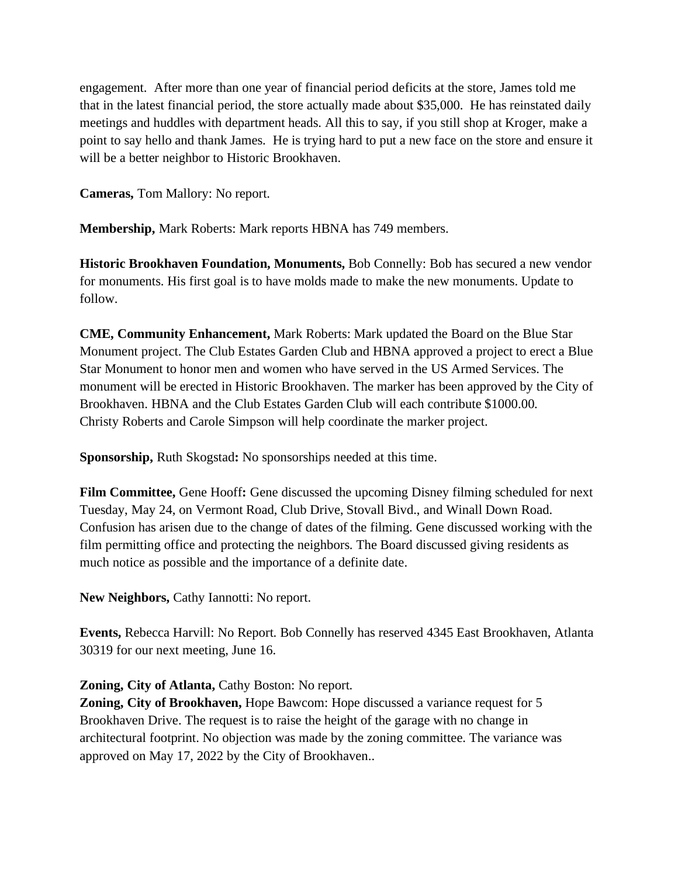engagement. After more than one year of financial period deficits at the store, James told me that in the latest financial period, the store actually made about \$35,000. He has reinstated daily meetings and huddles with department heads. All this to say, if you still shop at Kroger, make a point to say hello and thank James. He is trying hard to put a new face on the store and ensure it will be a better neighbor to Historic Brookhaven.

**Cameras,** Tom Mallory: No report.

**Membership,** Mark Roberts: Mark reports HBNA has 749 members.

**Historic Brookhaven Foundation, Monuments,** Bob Connelly: Bob has secured a new vendor for monuments. His first goal is to have molds made to make the new monuments. Update to follow.

**CME, Community Enhancement,** Mark Roberts: Mark updated the Board on the Blue Star Monument project. The Club Estates Garden Club and HBNA approved a project to erect a Blue Star Monument to honor men and women who have served in the US Armed Services. The monument will be erected in Historic Brookhaven. The marker has been approved by the City of Brookhaven. HBNA and the Club Estates Garden Club will each contribute \$1000.00. Christy Roberts and Carole Simpson will help coordinate the marker project.

**Sponsorship,** Ruth Skogstad**:** No sponsorships needed at this time.

**Film Committee,** Gene Hooff**:** Gene discussed the upcoming Disney filming scheduled for next Tuesday, May 24, on Vermont Road, Club Drive, Stovall Bivd., and Winall Down Road. Confusion has arisen due to the change of dates of the filming. Gene discussed working with the film permitting office and protecting the neighbors. The Board discussed giving residents as much notice as possible and the importance of a definite date.

**New Neighbors,** Cathy Iannotti: No report.

**Events,** Rebecca Harvill: No Report. Bob Connelly has reserved 4345 East Brookhaven, Atlanta 30319 for our next meeting, June 16.

**Zoning, City of Atlanta, Cathy Boston: No report.** 

**Zoning, City of Brookhaven,** Hope Bawcom: Hope discussed a variance request for 5 Brookhaven Drive. The request is to raise the height of the garage with no change in architectural footprint. No objection was made by the zoning committee. The variance was approved on May 17, 2022 by the City of Brookhaven..